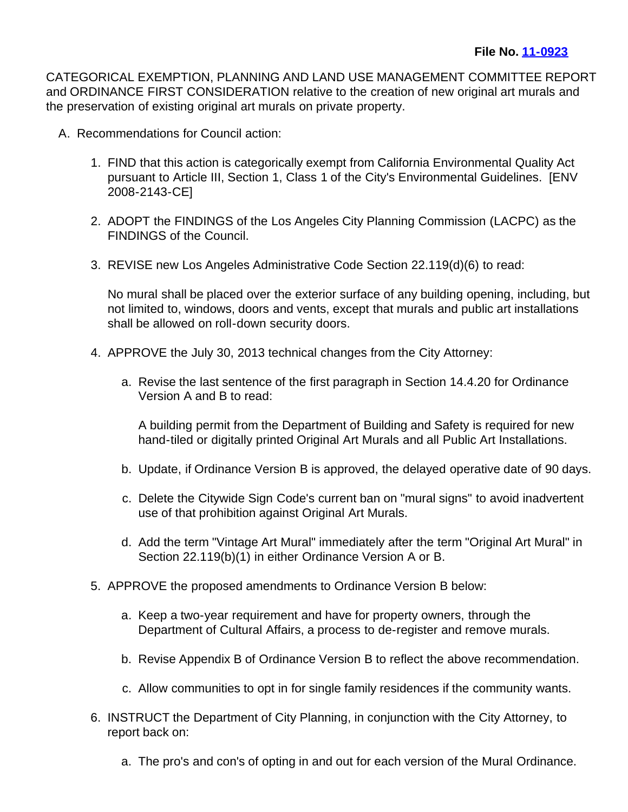CATEGORICAL EXEMPTION, PLANNING AND LAND USE MANAGEMENT COMMITTEE REPORT and ORDINANCE FIRST CONSIDERATION relative to the creation of new original art murals and the preservation of existing original art murals on private property.

- A. Recommendations for Council action:
	- 1. FIND that this action is categorically exempt from California Environmental Quality Act pursuant to Article III, Section 1, Class 1 of the City's Environmental Guidelines. [ENV 2008-2143-CE]
	- 2. ADOPT the FINDINGS of the Los Angeles City Planning Commission (LACPC) as the FINDINGS of the Council.
	- 3. REVISE new Los Angeles Administrative Code Section 22.119(d)(6) to read:

No mural shall be placed over the exterior surface of any building opening, including, but not limited to, windows, doors and vents, except that murals and public art installations shall be allowed on roll-down security doors.

- 4. APPROVE the July 30, 2013 technical changes from the City Attorney:
	- a. Revise the last sentence of the first paragraph in Section 14.4.20 for Ordinance Version A and B to read:

A building permit from the Department of Building and Safety is required for new hand-tiled or digitally printed Original Art Murals and all Public Art Installations.

- b. Update, if Ordinance Version B is approved, the delayed operative date of 90 days.
- c. Delete the Citywide Sign Code's current ban on "mural signs" to avoid inadvertent use of that prohibition against Original Art Murals.
- d. Add the term "Vintage Art Mural" immediately after the term "Original Art Mural" in Section 22.119(b)(1) in either Ordinance Version A or B.
- 5. APPROVE the proposed amendments to Ordinance Version B below:
	- a. Keep a two-year requirement and have for property owners, through the Department of Cultural Affairs, a process to de-register and remove murals.
	- b. Revise Appendix B of Ordinance Version B to reflect the above recommendation.
	- c. Allow communities to opt in for single family residences if the community wants.
- 6. INSTRUCT the Department of City Planning, in conjunction with the City Attorney, to report back on:
	- a. The pro's and con's of opting in and out for each version of the Mural Ordinance.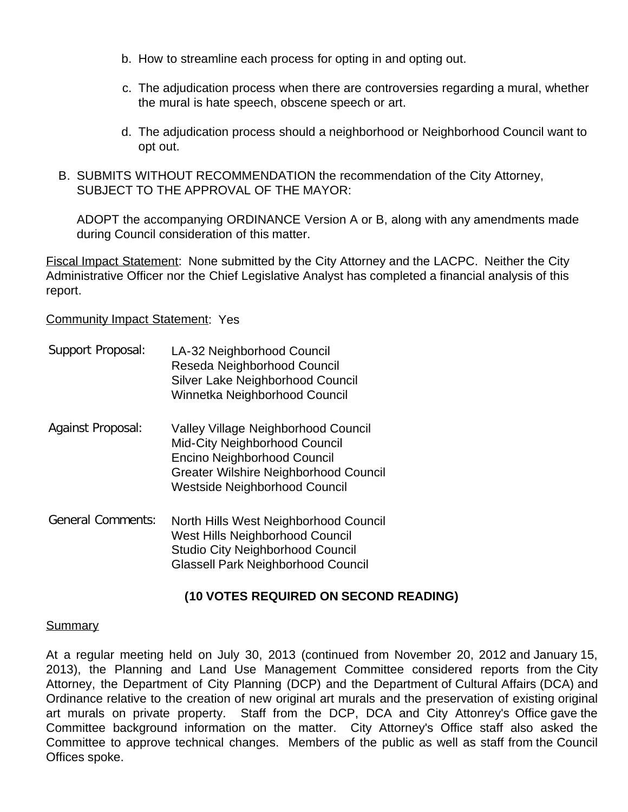- b. How to streamline each process for opting in and opting out.
- c. The adjudication process when there are controversies regarding a mural, whether the mural is hate speech, obscene speech or art.
- d. The adjudication process should a neighborhood or Neighborhood Council want to opt out.
- B. SUBMITS WITHOUT RECOMMENDATION the recommendation of the City Attorney, SUBJECT TO THE APPROVAL OF THE MAYOR:

ADOPT the accompanying ORDINANCE Version A or B, along with any amendments made during Council consideration of this matter.

Fiscal Impact Statement: None submitted by the City Attorney and the LACPC. Neither the City Administrative Officer nor the Chief Legislative Analyst has completed a financial analysis of this report.

**Community Impact Statement: Yes** 

| Support Proposal:        | LA-32 Neighborhood Council<br>Reseda Neighborhood Council<br>Silver Lake Neighborhood Council<br>Winnetka Neighborhood Council                                                |
|--------------------------|-------------------------------------------------------------------------------------------------------------------------------------------------------------------------------|
| Against Proposal:        | Valley Village Neighborhood Council<br>Mid-City Neighborhood Council<br>Encino Neighborhood Council<br>Greater Wilshire Neighborhood Council<br>Westside Neighborhood Council |
| <b>General Comments:</b> | North Hills West Neighborhood Council<br>West Hills Neighborhood Council<br><b>Studio City Neighborhood Council</b><br><b>Glassell Park Neighborhood Council</b>              |

## **(10 VOTES REQUIRED ON SECOND READING)**

## **Summary**

At a regular meeting held on July 30, 2013 (continued from November 20, 2012 and January 15, 2013), the Planning and Land Use Management Committee considered reports from the City Attorney, the Department of City Planning (DCP) and the Department of Cultural Affairs (DCA) and Ordinance relative to the creation of new original art murals and the preservation of existing original art murals on private property. Staff from the DCP, DCA and City Attonrey's Office gave the Committee background information on the matter. City Attorney's Office staff also asked the Committee to approve technical changes. Members of the public as well as staff from the Council Offices spoke.